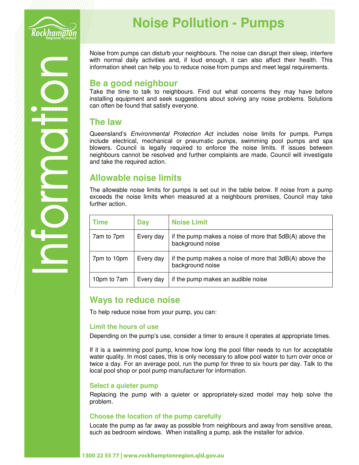

# **Noise Pollution - Pumps**

Noise from pumps can disturb your neighbours. The noise can disrupt their sleep, interfere with normal daily activities and, if loud enough, it can also affect their health. This information sheet can help you to reduce noise from pumps and meet legal requirements.

## **Be a good neighbour**

Take the time to talk to neighbours. Find out what concerns they may have before installing equipment and seek suggestions about solving any noise problems. Solutions can often be found that satisfy everyone.

### **The law**

Queensland's *Environmental Protection Act* includes noise limits for pumps. Pumps include electrical, mechanical or pneumatic pumps, swimming pool pumps and spa blowers. Council is legally required to enforce the noise limits. If issues between neighbours cannot be resolved and further complaints are made, Council will investigate and take the required action.

## **Allowable noise limits**

The allowable noise limits for pumps is set out in the table below. If noise from a pump exceeds the noise limits when measured at a neighbours premises, Council may take further action.

| Time        | Day       | <b>Noise Limit</b>                                                          |
|-------------|-----------|-----------------------------------------------------------------------------|
| 7am to 7pm  | Every day | if the pump makes a noise of more that 5dB(A) above the<br>background noise |
| 7pm to 10pm | Every day | if the pump makes a noise of more that 3dB(A) above the<br>background noise |
| 10pm to 7am | Every day | if the pump makes an audible noise                                          |

## **Ways to reduce noise**

To help reduce noise from your pump, you can:

#### **Limit the hours of use**

Depending on the pump's use, consider a timer to ensure it operates at appropriate times.

If it is a swimming pool pump, know how long the pool filter needs to run for acceptable water quality. In most cases, this is only necessary to allow pool water to turn over once or twice a day. For an average pool, run the pump for three to six hours per day. Talk to the local pool shop or pool pump manufacturer for information.

#### **Select a quieter pump**

Replacing the pump with a quieter or appropriately-sized model may help solve the problem.

#### **Choose the location of the pump carefully**

Locate the pump as far away as possible from neighbours and away from sensitive areas, such as bedroom windows. When installing a pump, ask the installer for advice.